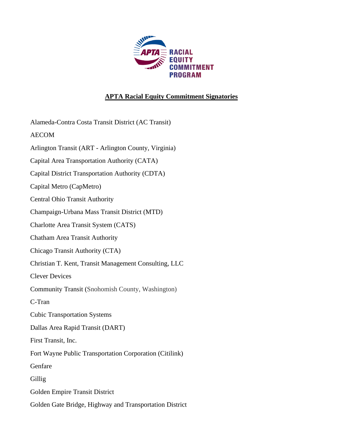

## **APTA Racial Equity Commitment Signatories**

Alameda-Contra Costa Transit District (AC Transit) AECOM Arlington Transit (ART - Arlington County, Virginia) Capital Area Transportation Authority (CATA) Capital District Transportation Authority (CDTA) Capital Metro (CapMetro) Central Ohio Transit Authority Champaign-Urbana Mass Transit District (MTD) Charlotte Area Transit System (CATS) Chatham Area Transit Authority Chicago Transit Authority (CTA) Christian T. Kent, Transit Management Consulting, LLC Clever Devices Community Transit (Snohomish County, Washington) C-Tran Cubic Transportation Systems Dallas Area Rapid Transit (DART) First Transit, Inc. Fort Wayne Public Transportation Corporation (Citilink) Genfare Gillig Golden Empire Transit District Golden Gate Bridge, Highway and Transportation District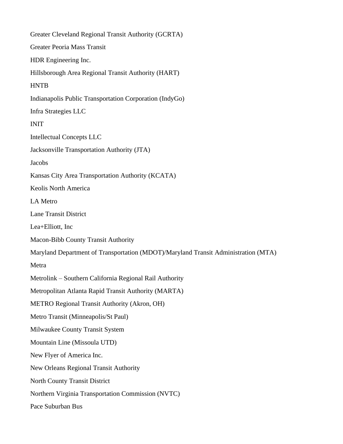Greater Cleveland Regional Transit Authority (GCRTA) Greater Peoria Mass Transit HDR Engineering Inc. Hillsborough Area Regional Transit Authority (HART) **HNTB** Indianapolis Public Transportation Corporation (IndyGo) Infra Strategies LLC INIT Intellectual Concepts LLC Jacksonville Transportation Authority (JTA) Jacobs Kansas City Area Transportation Authority (KCATA) Keolis North America LA Metro Lane Transit District Lea+Elliott, Inc Macon-Bibb County Transit Authority Maryland Department of Transportation (MDOT)/Maryland Transit Administration (MTA) Metra Metrolink – Southern California Regional Rail Authority Metropolitan Atlanta Rapid Transit Authority (MARTA) METRO Regional Transit Authority (Akron, OH) Metro Transit (Minneapolis/St Paul) Milwaukee County Transit System Mountain Line (Missoula UTD) New Flyer of America Inc. New Orleans Regional Transit Authority North County Transit District Northern Virginia Transportation Commission (NVTC) Pace Suburban Bus